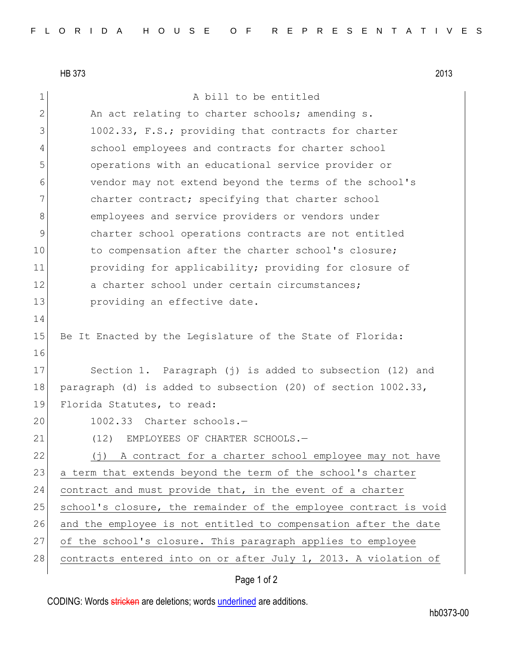HB 373 2013

1 a bill to be entitled 2 An act relating to charter schools; amending s. 3 1002.33, F.S.; providing that contracts for charter 4 school employees and contracts for charter school 5 operations with an educational service provider or 6 vendor may not extend beyond the terms of the school's 7 charter contract; specifying that charter school 8 employees and service providers or vendors under 9 charter school operations contracts are not entitled 10 to compensation after the charter school's closure; 11 **providing for applicability; providing for closure of** 12 a charter school under certain circumstances; 13 **providing an effective date.** 14 15 Be It Enacted by the Legislature of the State of Florida: 16 17 Section 1. Paragraph (j) is added to subsection (12) and 18 paragraph (d) is added to subsection (20) of section 1002.33, 19 Florida Statutes, to read: 20 1002.33 Charter schools.-21 (12) EMPLOYEES OF CHARTER SCHOOLS. 22 (j) A contract for a charter school employee may not have 23 a term that extends beyond the term of the school's charter 24 contract and must provide that, in the event of a charter 25 school's closure, the remainder of the employee contract is void 26 and the employee is not entitled to compensation after the date 27 of the school's closure. This paragraph applies to employee 28 contracts entered into on or after July 1, 2013. A violation of

CODING: Words stricken are deletions; words underlined are additions.